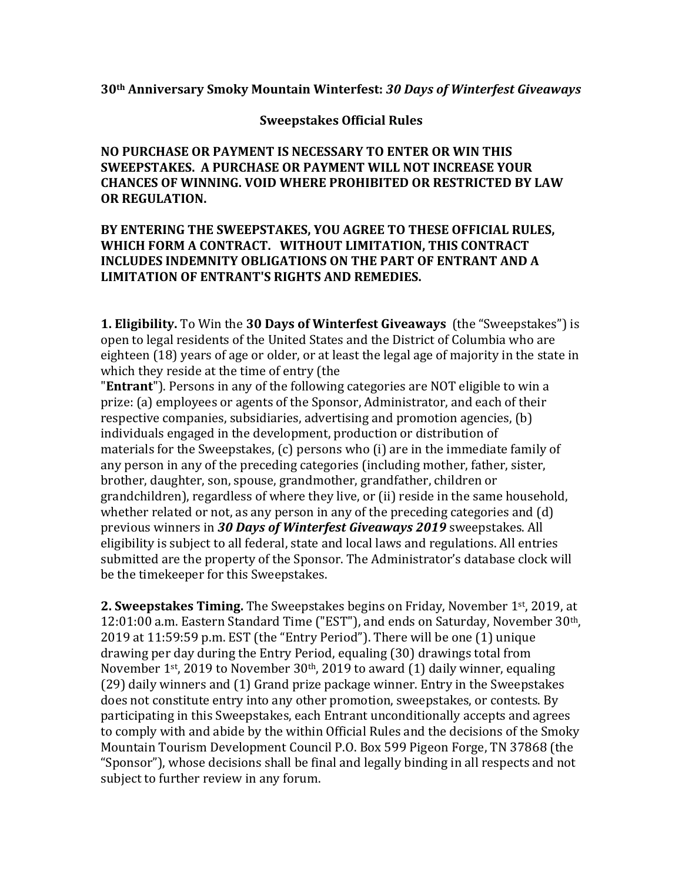**30th Anniversary Smoky Mountain Winterfest:** *30 Days of Winterfest Giveaways*

## **Sweepstakes Official Rules**

**NO PURCHASE OR PAYMENT IS NECESSARY TO ENTER OR WIN THIS SWEEPSTAKES. A PURCHASE OR PAYMENT WILL NOT INCREASE YOUR CHANCES OF WINNING. VOID WHERE PROHIBITED OR RESTRICTED BY LAW OR REGULATION.** 

## BY ENTERING THE SWEEPSTAKES, YOU AGREE TO THESE OFFICIAL RULES, WHICH FORM A CONTRACT. WITHOUT LIMITATION, THIS CONTRACT **INCLUDES INDEMNITY OBLIGATIONS ON THE PART OF ENTRANT AND A LIMITATION OF ENTRANT'S RIGHTS AND REMEDIES.**

**1. Eligibility.** To Win the **30 Days of Winterfest Giveaways** (the "Sweepstakes") is open to legal residents of the United States and the District of Columbia who are eighteen (18) years of age or older, or at least the legal age of majority in the state in which they reside at the time of entry (the

"**Entrant**"). Persons in any of the following categories are NOT eligible to win a prize: (a) employees or agents of the Sponsor, Administrator, and each of their respective companies, subsidiaries, advertising and promotion agencies,  $(b)$ individuals engaged in the development, production or distribution of materials for the Sweepstakes,  $(c)$  persons who  $(i)$  are in the immediate family of any person in any of the preceding categories (including mother, father, sister, brother, daughter, son, spouse, grandmother, grandfather, children or grandchildren), regardless of where they live, or (ii) reside in the same household, whether related or not, as any person in any of the preceding categories and  $(d)$ previous winners in 30 Days of Winterfest Giveaways 2019 sweepstakes. All eligibility is subject to all federal, state and local laws and regulations. All entries submitted are the property of the Sponsor. The Administrator's database clock will be the timekeeper for this Sweepstakes.

**2. Sweepstakes Timing.** The Sweepstakes begins on Friday, November 1<sup>st</sup>, 2019, at 12:01:00 a.m. Eastern Standard Time ("EST"), and ends on Saturday, November 30<sup>th</sup>, 2019 at  $11:59:59$  p.m. EST (the "Entry Period"). There will be one  $(1)$  unique drawing per day during the Entry Period, equaling (30) drawings total from November  $1^{st}$ , 2019 to November  $30^{th}$ , 2019 to award (1) daily winner, equaling (29) daily winners and (1) Grand prize package winner. Entry in the Sweepstakes does not constitute entry into any other promotion, sweepstakes, or contests. By participating in this Sweepstakes, each Entrant unconditionally accepts and agrees to comply with and abide by the within Official Rules and the decisions of the Smoky Mountain Tourism Development Council P.O. Box 599 Pigeon Forge, TN 37868 (the "Sponsor"), whose decisions shall be final and legally binding in all respects and not subject to further review in any forum.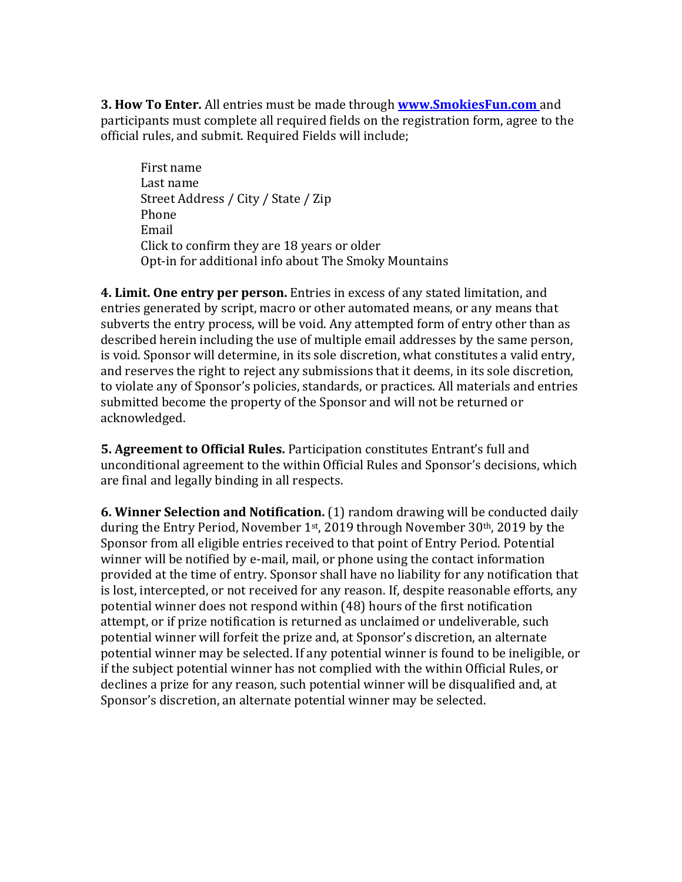**3. How To Enter.** All entries must be made through **www.SmokiesFun.com** and participants must complete all required fields on the registration form, agree to the official rules, and submit. Required Fields will include;

First name Last name Street Address / City / State / Zip Phone Email Click to confirm they are 18 years or older Opt-in for additional info about The Smoky Mountains

**4. Limit. One entry per person.** Entries in excess of any stated limitation, and entries generated by script, macro or other automated means, or any means that subverts the entry process, will be void. Any attempted form of entry other than as described herein including the use of multiple email addresses by the same person, is void. Sponsor will determine, in its sole discretion, what constitutes a valid entry, and reserves the right to reject any submissions that it deems, in its sole discretion, to violate any of Sponsor's policies, standards, or practices. All materials and entries submitted become the property of the Sponsor and will not be returned or acknowledged.

**5. Agreement to Official Rules.** Participation constitutes Entrant's full and unconditional agreement to the within Official Rules and Sponsor's decisions, which are final and legally binding in all respects.

**6. Winner Selection and Notification.** (1) random drawing will be conducted daily during the Entry Period, November  $1<sup>st</sup>$ , 2019 through November 30<sup>th</sup>, 2019 by the Sponsor from all eligible entries received to that point of Entry Period. Potential winner will be notified by e-mail, mail, or phone using the contact information provided at the time of entry. Sponsor shall have no liability for any notification that is lost, intercepted, or not received for any reason. If, despite reasonable efforts, any potential winner does not respond within (48) hours of the first notification attempt, or if prize notification is returned as unclaimed or undeliverable, such potential winner will forfeit the prize and, at Sponsor's discretion, an alternate potential winner may be selected. If any potential winner is found to be ineligible, or if the subject potential winner has not complied with the within Official Rules, or declines a prize for any reason, such potential winner will be disqualified and, at Sponsor's discretion, an alternate potential winner may be selected.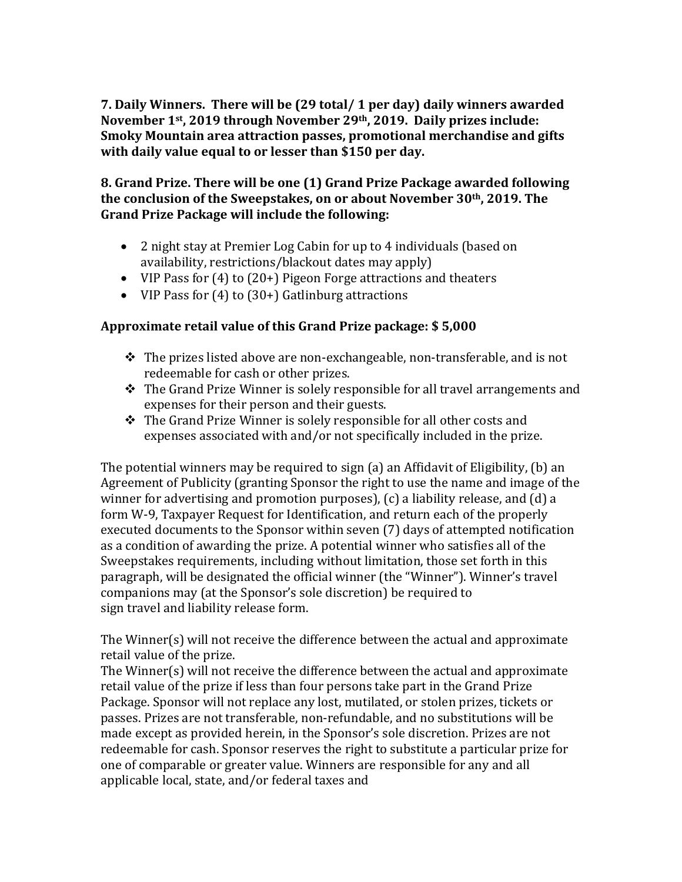**7.** Daily Winners. There will be (29 total/ 1 per day) daily winners awarded November 1<sup>st</sup>, 2019 through November 29<sup>th</sup>, 2019. Daily prizes include: **Smoky Mountain area attraction passes, promotional merchandise and gifts** with daily value equal to or lesser than \$150 per day.

**8.** Grand Prize. There will be one (1) Grand Prize Package awarded following the conclusion of the Sweepstakes, on or about November 30<sup>th</sup>, 2019. The **Grand Prize Package will include the following:** 

- 2 night stay at Premier Log Cabin for up to 4 individuals (based on availability, restrictions/blackout dates may apply)
- VIP Pass for  $(4)$  to  $(20+)$  Pigeon Forge attractions and theaters
- VIP Pass for  $(4)$  to  $(30+)$  Gatlinburg attractions

## Approximate retail value of this Grand Prize package: \$ 5,000

- $\cdot \cdot$  The prizes listed above are non-exchangeable, non-transferable, and is not redeemable for cash or other prizes.
- $\triangle$  The Grand Prize Winner is solely responsible for all travel arrangements and expenses for their person and their guests.
- $\triangle$  The Grand Prize Winner is solely responsible for all other costs and expenses associated with and/or not specifically included in the prize.

The potential winners may be required to sign  $(a)$  an Affidavit of Eligibility,  $(b)$  an Agreement of Publicity (granting Sponsor the right to use the name and image of the winner for advertising and promotion purposes),  $(c)$  a liability release, and  $(d)$  a form W-9, Taxpayer Request for Identification, and return each of the properly executed documents to the Sponsor within seven (7) days of attempted notification as a condition of awarding the prize. A potential winner who satisfies all of the Sweepstakes requirements, including without limitation, those set forth in this paragraph, will be designated the official winner (the "Winner"). Winner's travel companions may (at the Sponsor's sole discretion) be required to sign travel and liability release form.

The Winner(s) will not receive the difference between the actual and approximate retail value of the prize.

The Winner(s) will not receive the difference between the actual and approximate retail value of the prize if less than four persons take part in the Grand Prize Package. Sponsor will not replace any lost, mutilated, or stolen prizes, tickets or passes. Prizes are not transferable, non-refundable, and no substitutions will be made except as provided herein, in the Sponsor's sole discretion. Prizes are not redeemable for cash. Sponsor reserves the right to substitute a particular prize for one of comparable or greater value. Winners are responsible for any and all applicable local, state, and/or federal taxes and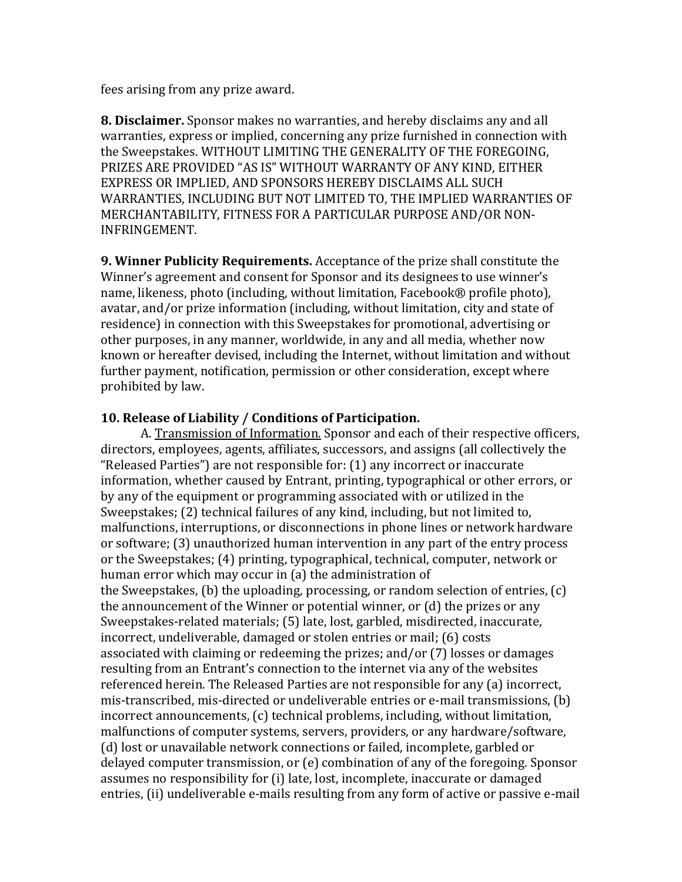fees arising from any prize award.

**8. Disclaimer.** Sponsor makes no warranties, and hereby disclaims any and all warranties, express or implied, concerning any prize furnished in connection with the Sweepstakes. WITHOUT LIMITING THE GENERALITY OF THE FOREGOING, PRIZES ARE PROVIDED "AS IS" WITHOUT WARRANTY OF ANY KIND, EITHER EXPRESS OR IMPLIED, AND SPONSORS HEREBY DISCLAIMS ALL SUCH WARRANTIES, INCLUDING BUT NOT LIMITED TO, THE IMPLIED WARRANTIES OF MERCHANTABILITY, FITNESS FOR A PARTICULAR PURPOSE AND/OR NON-INFRINGEMENT.

**9. Winner Publicity Requirements.** Acceptance of the prize shall constitute the Winner's agreement and consent for Sponsor and its designees to use winner's name, likeness, photo (including, without limitation, Facebook® profile photo), avatar, and/or prize information (including, without limitation, city and state of residence) in connection with this Sweepstakes for promotional, advertising or other purposes, in any manner, worldwide, in any and all media, whether now known or hereafter devised, including the Internet, without limitation and without further payment, notification, permission or other consideration, except where prohibited by law.

## 10. Release of Liability / Conditions of Participation.

A. Transmission of Information. Sponsor and each of their respective officers, directors, employees, agents, affiliates, successors, and assigns (all collectively the "Released Parties") are not responsible for:  $(1)$  any incorrect or inaccurate information, whether caused by Entrant, printing, typographical or other errors, or by any of the equipment or programming associated with or utilized in the Sweepstakes; (2) technical failures of any kind, including, but not limited to, malfunctions, interruptions, or disconnections in phone lines or network hardware or software; (3) unauthorized human intervention in any part of the entry process or the Sweepstakes; (4) printing, typographical, technical, computer, network or human error which may occur in (a) the administration of the Sweepstakes, (b) the uploading, processing, or random selection of entries,  $(c)$ the announcement of the Winner or potential winner, or (d) the prizes or any Sweepstakes-related materials; (5) late, lost, garbled, misdirected, inaccurate, incorrect, undeliverable, damaged or stolen entries or mail; (6) costs associated with claiming or redeeming the prizes; and/or (7) losses or damages resulting from an Entrant's connection to the internet via any of the websites referenced herein. The Released Parties are not responsible for any (a) incorrect, mis-transcribed, mis-directed or undeliverable entries or e-mail transmissions,  $(b)$ incorrect announcements, (c) technical problems, including, without limitation, malfunctions of computer systems, servers, providers, or any hardware/software, (d) lost or unavailable network connections or failed, incomplete, garbled or delayed computer transmission, or  $(e)$  combination of any of the foregoing. Sponsor assumes no responsibility for (i) late, lost, incomplete, inaccurate or damaged entries, (ii) undeliverable e-mails resulting from any form of active or passive e-mail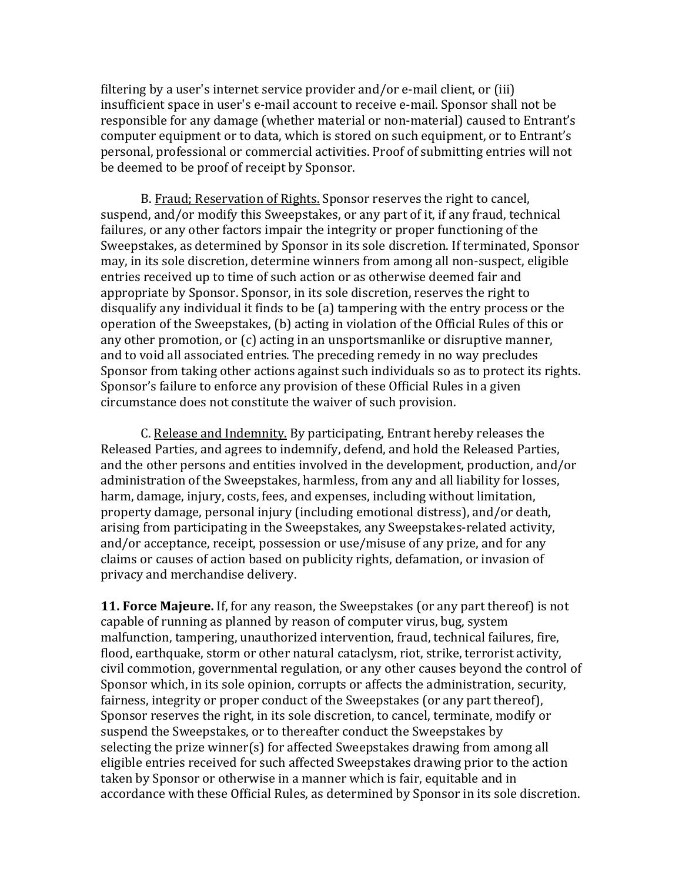filtering by a user's internet service provider and/or e-mail client, or (iii) insufficient space in user's e-mail account to receive e-mail. Sponsor shall not be responsible for any damage (whether material or non-material) caused to Entrant's computer equipment or to data, which is stored on such equipment, or to Entrant's personal, professional or commercial activities. Proof of submitting entries will not be deemed to be proof of receipt by Sponsor.

B. Fraud; Reservation of Rights. Sponsor reserves the right to cancel, suspend, and/or modify this Sweepstakes, or any part of it, if any fraud, technical failures, or any other factors impair the integrity or proper functioning of the Sweepstakes, as determined by Sponsor in its sole discretion. If terminated, Sponsor may, in its sole discretion, determine winners from among all non-suspect, eligible entries received up to time of such action or as otherwise deemed fair and appropriate by Sponsor. Sponsor, in its sole discretion, reserves the right to disqualify any individual it finds to be (a) tampering with the entry process or the operation of the Sweepstakes, (b) acting in violation of the Official Rules of this or any other promotion, or  $(c)$  acting in an unsportsmanlike or disruptive manner, and to void all associated entries. The preceding remedy in no way precludes Sponsor from taking other actions against such individuals so as to protect its rights. Sponsor's failure to enforce any provision of these Official Rules in a given circumstance does not constitute the waiver of such provision.

C. Release and Indemnity. By participating, Entrant hereby releases the Released Parties, and agrees to indemnify, defend, and hold the Released Parties, and the other persons and entities involved in the development, production, and/or administration of the Sweepstakes, harmless, from any and all liability for losses, harm, damage, injury, costs, fees, and expenses, including without limitation, property damage, personal injury (including emotional distress), and/or death, arising from participating in the Sweepstakes, any Sweepstakes-related activity, and/or acceptance, receipt, possession or use/misuse of any prize, and for any claims or causes of action based on publicity rights, defamation, or invasion of privacy and merchandise delivery.

**11. Force Majeure.** If, for any reason, the Sweepstakes (or any part thereof) is not capable of running as planned by reason of computer virus, bug, system malfunction, tampering, unauthorized intervention, fraud, technical failures, fire, flood, earthquake, storm or other natural cataclysm, riot, strike, terrorist activity, civil commotion, governmental regulation, or any other causes beyond the control of Sponsor which, in its sole opinion, corrupts or affects the administration, security, fairness, integrity or proper conduct of the Sweepstakes (or any part thereof), Sponsor reserves the right, in its sole discretion, to cancel, terminate, modify or suspend the Sweepstakes, or to thereafter conduct the Sweepstakes by selecting the prize winner(s) for affected Sweepstakes drawing from among all eligible entries received for such affected Sweepstakes drawing prior to the action taken by Sponsor or otherwise in a manner which is fair, equitable and in accordance with these Official Rules, as determined by Sponsor in its sole discretion.